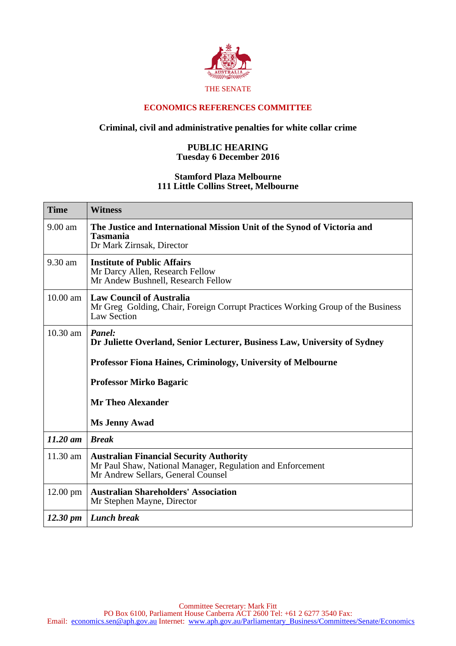

## **ECONOMICS REFERENCES COMMITTEE**

## **Criminal, civil and administrative penalties for white collar crime**

## **PUBLIC HEARING Tuesday 6 December 2016**

## **Stamford Plaza Melbourne 111 Little Collins Street, Melbourne**

| <b>Time</b>        | <b>Witness</b>                                                                                                                                     |
|--------------------|----------------------------------------------------------------------------------------------------------------------------------------------------|
| 9.00 am            | The Justice and International Mission Unit of the Synod of Victoria and<br>Tasmania<br>Dr Mark Zirnsak, Director                                   |
| 9.30 am            | <b>Institute of Public Affairs</b><br>Mr Darcy Allen, Research Fellow<br>Mr Andew Bushnell, Research Fellow                                        |
| $10.00$ am         | <b>Law Council of Australia</b><br>Mr Greg Golding, Chair, Foreign Corrupt Practices Working Group of the Business<br>Law Section                  |
| 10.30 am           | Panel:<br>Dr Juliette Overland, Senior Lecturer, Business Law, University of Sydney                                                                |
|                    | <b>Professor Fiona Haines, Criminology, University of Melbourne</b>                                                                                |
|                    | <b>Professor Mirko Bagaric</b>                                                                                                                     |
|                    | <b>Mr Theo Alexander</b>                                                                                                                           |
|                    | <b>Ms Jenny Awad</b>                                                                                                                               |
| $11.20$ am         | <b>Break</b>                                                                                                                                       |
| 11.30 am           | <b>Australian Financial Security Authority</b><br>Mr Paul Shaw, National Manager, Regulation and Enforcement<br>Mr Andrew Sellars, General Counsel |
| 12.00 pm           | <b>Australian Shareholders' Association</b><br>Mr Stephen Mayne, Director                                                                          |
| $12.30 \text{ pm}$ | <b>Lunch break</b>                                                                                                                                 |